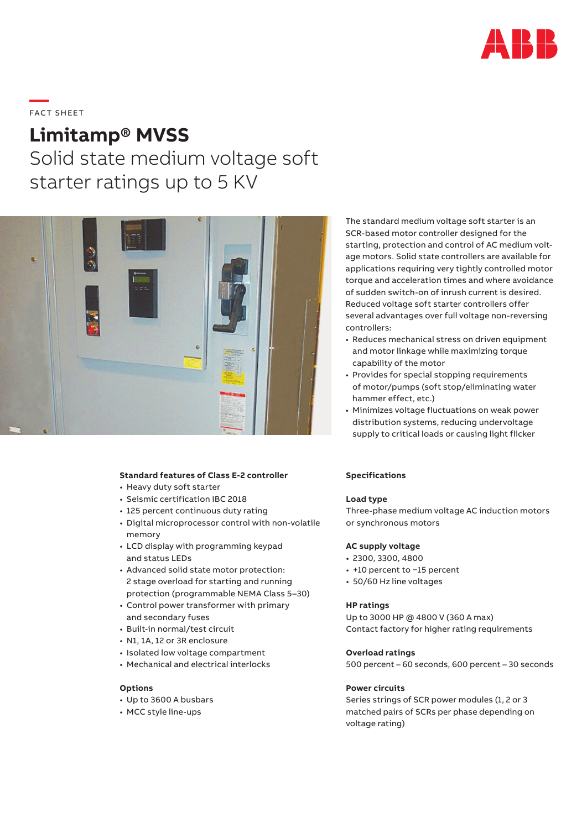

# **—**  FAC T S H EE T

# **Limitamp® MVSS**

Solid state medium voltage soft starter ratings up to 5 KV



# **Standard features of Class E-2 controller**

- Heavy duty soft starter
- Seismic certification IBC 2018
- 125 percent continuous duty rating
- Digital microprocessor control with non-volatile memory
- LCD display with programming keypad and status LEDs
- Advanced solid state motor protection: 2 stage overload for starting and running protection (programmable NEMA Class 5–30)
- Control power transformer with primary and secondary fuses
- Built-in normal/test circuit
- N1, 1A, 12 or 3R enclosure
- Isolated low voltage compartment
- Mechanical and electrical interlocks

# **Options**

- Up to 3600 A busbars
- MCC style line-ups

The standard medium voltage soft starter is an SCR-based motor controller designed for the starting, protection and control of AC medium voltage motors. Solid state controllers are available for applications requiring very tightly controlled motor torque and acceleration times and where avoidance of sudden switch-on of inrush current is desired. Reduced voltage soft starter controllers offer several advantages over full voltage non-reversing controllers:

- Reduces mechanical stress on driven equipment and motor linkage while maximizing torque capability of the motor
- Provides for special stopping requirements of motor/pumps (soft stop/eliminating water hammer effect, etc.)
- Minimizes voltage fluctuations on weak power distribution systems, reducing undervoltage supply to critical loads or causing light flicker

#### **Specifications**

#### **Load type**

Three-phase medium voltage AC induction motors or synchronous motors

#### **AC supply voltage**

- 2300, 3300, 4800
- +10 percent to −15 percent
- 50/60 Hz line voltages

#### **HP ratings**

Up to 3000 HP @ 4800 V (360 A max) Contact factory for higher rating requirements

# **Overload ratings**

500 percent – 60 seconds, 600 percent – 30 seconds

# **Power circuits**

Series strings of SCR power modules (1, 2 or 3 matched pairs of SCRs per phase depending on voltage rating)